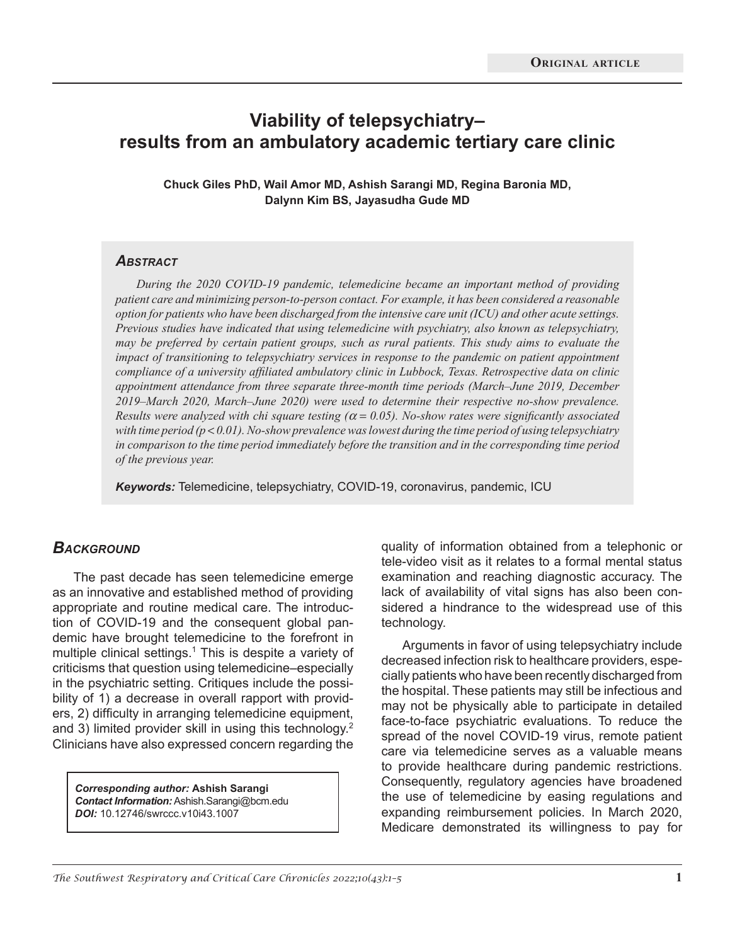# **Viability of telepsychiatry– results from an ambulatory academic tertiary care clinic**

**Chuck Giles PhD, Wail Amor MD, Ashish Sarangi MD, Regina Baronia MD, Dalynn Kim BS, Jayasudha Gude MD**

#### *Abstract*

*During the 2020 COVID-19 pandemic, telemedicine became an important method of providing patient care and minimizing person-to-person contact. For example, it has been considered a reasonable option for patients who have been discharged from the intensive care unit (ICU) and other acute settings. Previous studies have indicated that using telemedicine with psychiatry, also known as telepsychiatry, may be preferred by certain patient groups, such as rural patients. This study aims to evaluate the impact of transitioning to telepsychiatry services in response to the pandemic on patient appointment compliance of a university affiliated ambulatory clinic in Lubbock, Texas. Retrospective data on clinic appointment attendance from three separate three-month time periods (March–June 2019, December 2019–March 2020, March–June 2020) were used to determine their respective no-show prevalence. Results were analyzed with chi square testing (*<sup>α</sup> = *0.05). No-show rates were significantly associated*  with time period  $(p < 0.01)$ . No-show prevalence was lowest during the time period of using telepsychiatry *in comparison to the time period immediately before the transition and in the corresponding time period of the previous year.* 

*Keywords:* Telemedicine, telepsychiatry, COVID-19, coronavirus, pandemic, ICU

#### **BACKGROUND**

The past decade has seen telemedicine emerge as an innovative and established method of providing appropriate and routine medical care. The introduction of COVID-19 and the consequent global pandemic have brought telemedicine to the forefront in multiple clinical settings.<sup>1</sup> This is despite a variety of criticisms that question using telemedicine–especially in the psychiatric setting. Critiques include the possibility of 1) a decrease in overall rapport with providers, 2) difficulty in arranging telemedicine equipment, and 3) limited provider skill in using this technology.<sup>2</sup> Clinicians have also expressed concern regarding the

*Corresponding author:* **Ashish Sarangi**  *Contact Information:* Ashish.Sarangi@bcm.edu *DOI:* 10.12746/swrccc.v10i43.1007

quality of information obtained from a telephonic or tele-video visit as it relates to a formal mental status examination and reaching diagnostic accuracy. The lack of availability of vital signs has also been considered a hindrance to the widespread use of this technology.

Arguments in favor of using telepsychiatry include decreased infection risk to healthcare providers, especially patients who have been recently discharged from the hospital. These patients may still be infectious and may not be physically able to participate in detailed face-to-face psychiatric evaluations. To reduce the spread of the novel COVID-19 virus, remote patient care via telemedicine serves as a valuable means to provide healthcare during pandemic restrictions. Consequently, regulatory agencies have broadened the use of telemedicine by easing regulations and expanding reimbursement policies. In March 2020, Medicare demonstrated its willingness to pay for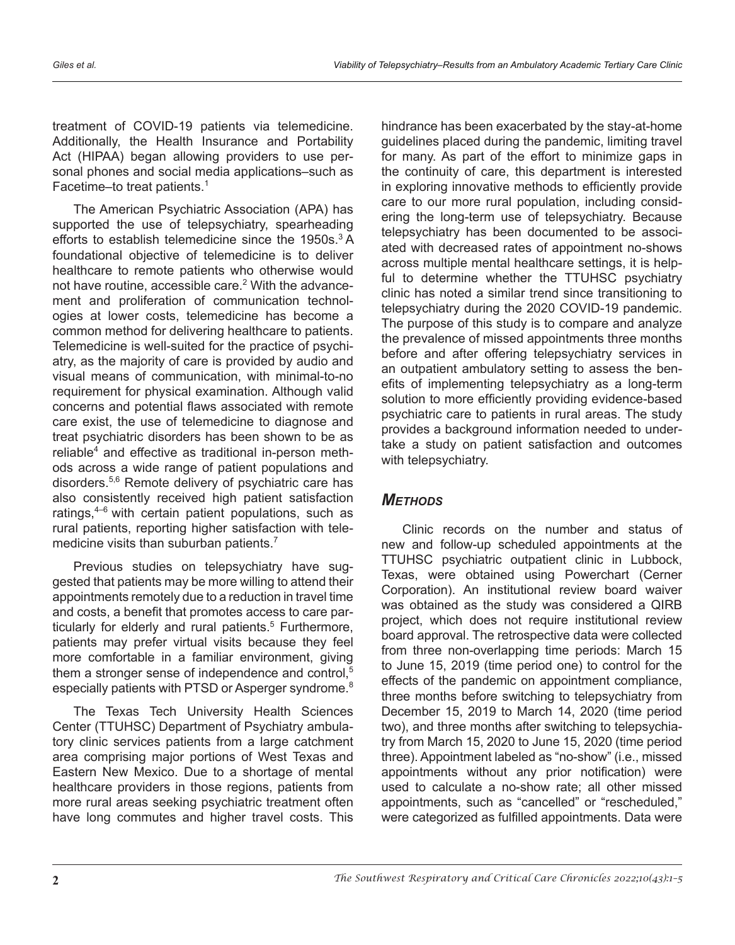treatment of COVID-19 patients via telemedicine. Additionally, the Health Insurance and Portability Act (HIPAA) began allowing providers to use personal phones and social media applications–such as Facetime–to treat patients.<sup>1</sup>

The American Psychiatric Association (APA) has supported the use of telepsychiatry, spearheading efforts to establish telemedicine since the 1950s.<sup>3</sup> A foundational objective of telemedicine is to deliver healthcare to remote patients who otherwise would not have routine, accessible care.<sup>2</sup> With the advancement and proliferation of communication technologies at lower costs, telemedicine has become a common method for delivering healthcare to patients. Telemedicine is well-suited for the practice of psychiatry, as the majority of care is provided by audio and visual means of communication, with minimal-to-no requirement for physical examination. Although valid concerns and potential flaws associated with remote care exist, the use of telemedicine to diagnose and treat psychiatric disorders has been shown to be as reliable<sup>4</sup> and effective as traditional in-person methods across a wide range of patient populations and disorders.5,6 Remote delivery of psychiatric care has also consistently received high patient satisfaction ratings, $4-6$  with certain patient populations, such as rural patients, reporting higher satisfaction with telemedicine visits than suburban patients.<sup>7</sup>

Previous studies on telepsychiatry have suggested that patients may be more willing to attend their appointments remotely due to a reduction in travel time and costs, a benefit that promotes access to care particularly for elderly and rural patients.<sup>5</sup> Furthermore, patients may prefer virtual visits because they feel more comfortable in a familiar environment, giving them a stronger sense of independence and control,<sup>5</sup> especially patients with PTSD or Asperger syndrome.<sup>8</sup>

The Texas Tech University Health Sciences Center (TTUHSC) Department of Psychiatry ambulatory clinic services patients from a large catchment area comprising major portions of West Texas and Eastern New Mexico. Due to a shortage of mental healthcare providers in those regions, patients from more rural areas seeking psychiatric treatment often have long commutes and higher travel costs. This

hindrance has been exacerbated by the stay-at-home guidelines placed during the pandemic, limiting travel for many. As part of the effort to minimize gaps in the continuity of care, this department is interested in exploring innovative methods to efficiently provide care to our more rural population, including considering the long-term use of telepsychiatry. Because telepsychiatry has been documented to be associated with decreased rates of appointment no-shows across multiple mental healthcare settings, it is helpful to determine whether the TTUHSC psychiatry clinic has noted a similar trend since transitioning to telepsychiatry during the 2020 COVID-19 pandemic. The purpose of this study is to compare and analyze the prevalence of missed appointments three months before and after offering telepsychiatry services in an outpatient ambulatory setting to assess the benefits of implementing telepsychiatry as a long-term solution to more efficiently providing evidence-based psychiatric care to patients in rural areas. The study provides a background information needed to undertake a study on patient satisfaction and outcomes with telepsychiatry.

### *Methods*

Clinic records on the number and status of new and follow-up scheduled appointments at the TTUHSC psychiatric outpatient clinic in Lubbock, Texas, were obtained using Powerchart (Cerner Corporation). An institutional review board waiver was obtained as the study was considered a QIRB project, which does not require institutional review board approval. The retrospective data were collected from three non-overlapping time periods: March 15 to June 15, 2019 (time period one) to control for the effects of the pandemic on appointment compliance, three months before switching to telepsychiatry from December 15, 2019 to March 14, 2020 (time period two), and three months after switching to telepsychiatry from March 15, 2020 to June 15, 2020 (time period three). Appointment labeled as "no-show" (i.e., missed appointments without any prior notification) were used to calculate a no-show rate; all other missed appointments, such as "cancelled" or "rescheduled," were categorized as fulfilled appointments. Data were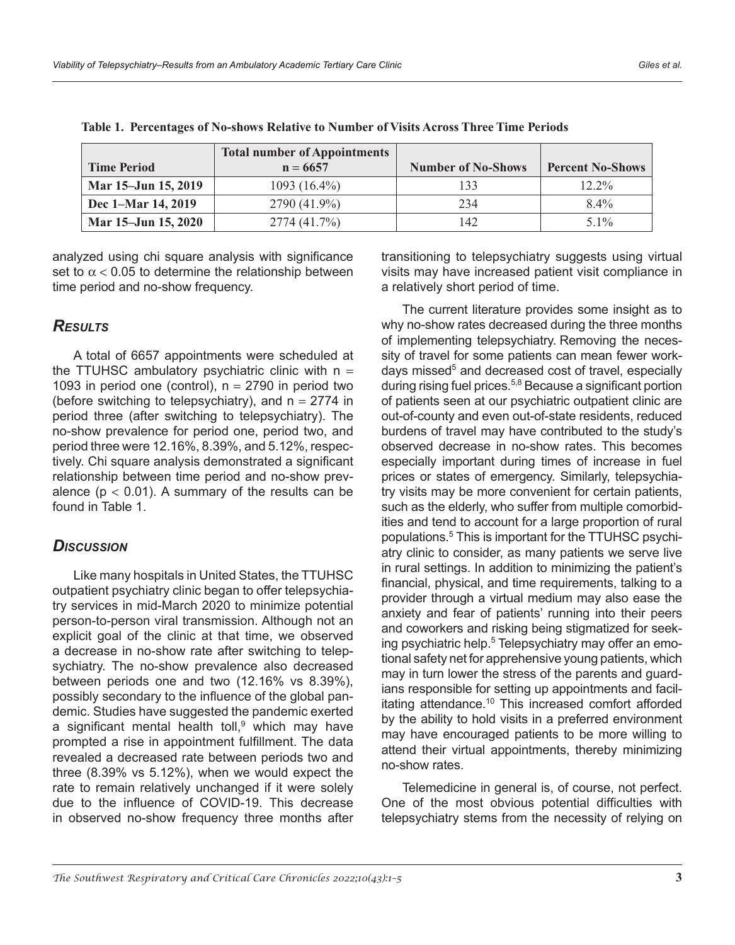|                     | <b>Total number of Appointments</b> |                           |                         |
|---------------------|-------------------------------------|---------------------------|-------------------------|
| <b>Time Period</b>  | $n = 6657$                          | <b>Number of No-Shows</b> | <b>Percent No-Shows</b> |
| Mar 15–Jun 15, 2019 | $1093(16.4\%)$                      | 133                       | $12.2\%$                |
| Dec 1–Mar 14, 2019  | 2790 (41.9%)                        | 234                       | $8.4\%$                 |
| Mar 15–Jun 15, 2020 | 2774 (41.7%)                        | 142                       | $5.1\%$                 |

**Table 1. Percentages of No-shows Relative to Number of Visits Across Three Time Periods**

analyzed using chi square analysis with significance set to  $\alpha$  < 0.05 to determine the relationship between time period and no-show frequency.

# *Results*

A total of 6657 appointments were scheduled at the TTUHSC ambulatory psychiatric clinic with  $n =$ 1093 in period one (control),  $n = 2790$  in period two (before switching to telepsychiatry), and  $n = 2774$  in period three (after switching to telepsychiatry). The no-show prevalence for period one, period two, and period three were 12.16%, 8.39%, and 5.12%, respectively. Chi square analysis demonstrated a significant relationship between time period and no-show prevalence ( $p < 0.01$ ). A summary of the results can be found in Table 1.

# *Discussion*

Like many hospitals in United States, the TTUHSC outpatient psychiatry clinic began to offer telepsychiatry services in mid-March 2020 to minimize potential person-to-person viral transmission. Although not an explicit goal of the clinic at that time, we observed a decrease in no-show rate after switching to telepsychiatry. The no-show prevalence also decreased between periods one and two (12.16% vs 8.39%), possibly secondary to the influence of the global pandemic. Studies have suggested the pandemic exerted a significant mental health toll, $9$  which may have prompted a rise in appointment fulfillment. The data revealed a decreased rate between periods two and three (8.39% vs 5.12%), when we would expect the rate to remain relatively unchanged if it were solely due to the influence of COVID-19. This decrease in observed no-show frequency three months after

transitioning to telepsychiatry suggests using virtual visits may have increased patient visit compliance in a relatively short period of time.

The current literature provides some insight as to why no-show rates decreased during the three months of implementing telepsychiatry. Removing the necessity of travel for some patients can mean fewer workdays missed<sup>5</sup> and decreased cost of travel, especially during rising fuel prices.<sup>5,8</sup> Because a significant portion of patients seen at our psychiatric outpatient clinic are out-of-county and even out-of-state residents, reduced burdens of travel may have contributed to the study's observed decrease in no-show rates. This becomes especially important during times of increase in fuel prices or states of emergency. Similarly, telepsychiatry visits may be more convenient for certain patients, such as the elderly, who suffer from multiple comorbidities and tend to account for a large proportion of rural populations.<sup>5</sup> This is important for the TTUHSC psychiatry clinic to consider, as many patients we serve live in rural settings. In addition to minimizing the patient's financial, physical, and time requirements, talking to a provider through a virtual medium may also ease the anxiety and fear of patients' running into their peers and coworkers and risking being stigmatized for seeking psychiatric help.<sup>5</sup> Telepsychiatry may offer an emotional safety net for apprehensive young patients, which may in turn lower the stress of the parents and guardians responsible for setting up appointments and facilitating attendance.<sup>10</sup> This increased comfort afforded by the ability to hold visits in a preferred environment may have encouraged patients to be more willing to attend their virtual appointments, thereby minimizing no-show rates.

Telemedicine in general is, of course, not perfect. One of the most obvious potential difficulties with telepsychiatry stems from the necessity of relying on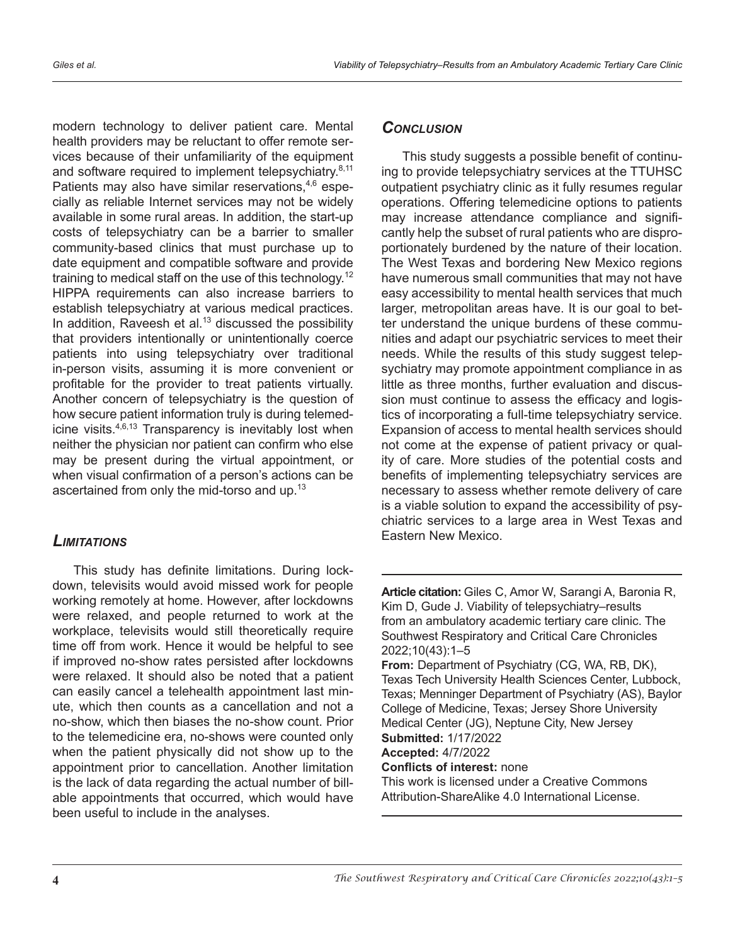modern technology to deliver patient care. Mental health providers may be reluctant to offer remote services because of their unfamiliarity of the equipment and software required to implement telepsychiatry.<sup>8,11</sup> Patients may also have similar reservations, $4,6$  especially as reliable Internet services may not be widely available in some rural areas. In addition, the start-up costs of telepsychiatry can be a barrier to smaller community-based clinics that must purchase up to date equipment and compatible software and provide training to medical staff on the use of this technology.<sup>12</sup> HIPPA requirements can also increase barriers to establish telepsychiatry at various medical practices. In addition, Raveesh et al.<sup>13</sup> discussed the possibility that providers intentionally or unintentionally coerce patients into using telepsychiatry over traditional in-person visits, assuming it is more convenient or profitable for the provider to treat patients virtually. Another concern of telepsychiatry is the question of how secure patient information truly is during telemedicine visits.<sup>4,6,13</sup> Transparency is inevitably lost when neither the physician nor patient can confirm who else may be present during the virtual appointment, or when visual confirmation of a person's actions can be ascertained from only the mid-torso and up.<sup>13</sup>

### *Limitations*

This study has definite limitations. During lockdown, televisits would avoid missed work for people working remotely at home. However, after lockdowns were relaxed, and people returned to work at the workplace, televisits would still theoretically require time off from work. Hence it would be helpful to see if improved no-show rates persisted after lockdowns were relaxed. It should also be noted that a patient can easily cancel a telehealth appointment last minute, which then counts as a cancellation and not a no-show, which then biases the no-show count. Prior to the telemedicine era, no-shows were counted only when the patient physically did not show up to the appointment prior to cancellation. Another limitation is the lack of data regarding the actual number of billable appointments that occurred, which would have been useful to include in the analyses.

### *Conclusion*

This study suggests a possible benefit of continuing to provide telepsychiatry services at the TTUHSC outpatient psychiatry clinic as it fully resumes regular operations. Offering telemedicine options to patients may increase attendance compliance and significantly help the subset of rural patients who are disproportionately burdened by the nature of their location. The West Texas and bordering New Mexico regions have numerous small communities that may not have easy accessibility to mental health services that much larger, metropolitan areas have. It is our goal to better understand the unique burdens of these communities and adapt our psychiatric services to meet their needs. While the results of this study suggest telepsychiatry may promote appointment compliance in as little as three months, further evaluation and discussion must continue to assess the efficacy and logistics of incorporating a full-time telepsychiatry service. Expansion of access to mental health services should not come at the expense of patient privacy or quality of care. More studies of the potential costs and benefits of implementing telepsychiatry services are necessary to assess whether remote delivery of care is a viable solution to expand the accessibility of psychiatric services to a large area in West Texas and Eastern New Mexico.

**Article citation:** Giles C, Amor W, Sarangi A, Baronia R, Kim D, Gude J. Viability of telepsychiatry–results from an ambulatory academic tertiary care clinic. The Southwest Respiratory and Critical Care Chronicles 2022;10(43):1–5

**From:** Department of Psychiatry (CG, WA, RB, DK), Texas Tech University Health Sciences Center, Lubbock, Texas; Menninger Department of Psychiatry (AS), Baylor College of Medicine, Texas; Jersey Shore University Medical Center (JG), Neptune City, New Jersey **Submitted:** 1/17/2022

**Accepted:** 4/7/2022

**Conflicts of interest:** none This work is licensed under a Creative Commons Attribution-ShareAlike 4.0 International License.